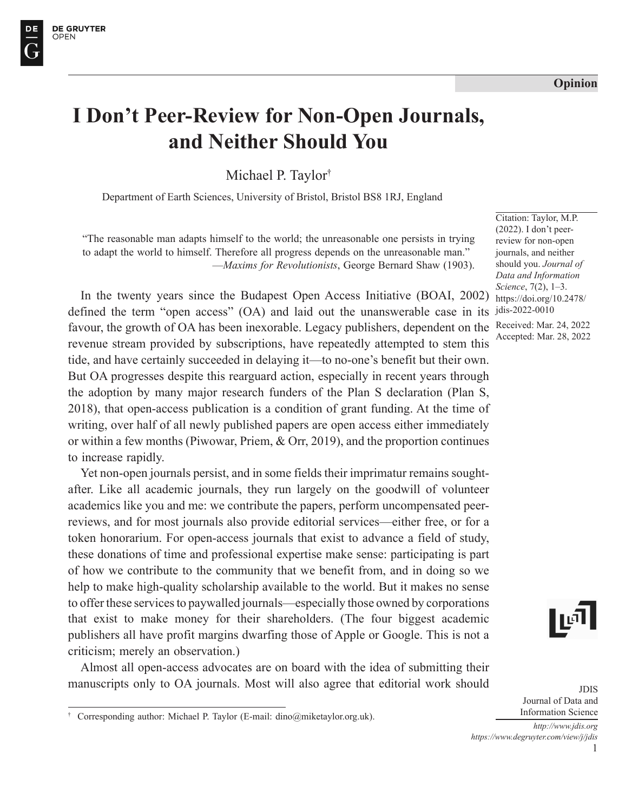#### **Opinion**

# **I Don't Peer-Review for Non-Open Journals, and Neither Should You**

Michael P. Taylor†

Department of Earth Sciences, University of Bristol, Bristol BS8 1RJ, England

"The reasonable man adapts himself to the world; the unreasonable one persists in trying to adapt the world to himself. Therefore all progress depends on the unreasonable man." —*Maxims for Revolutionists*, George Bernard Shaw (1903).

In the twenty years since the Budapest Open Access Initiative (BOAI, 2002) defined the term "open access" (OA) and laid out the unanswerable case in its favour, the growth of OA has been inexorable. Legacy publishers, dependent on the revenue stream provided by subscriptions, have repeatedly attempted to stem this tide, and have certainly succeeded in delaying it—to no-one's benefit but their own. But OA progresses despite this rearguard action, especially in recent years through the adoption by many major research funders of the Plan S declaration (Plan S, 2018), that open-access publication is a condition of grant funding. At the time of writing, over half of all newly published papers are open access either immediately or within a few months (Piwowar, Priem, & Orr, 2019), and the proportion continues to increase rapidly.

Yet non-open journals persist, and in some fields their imprimatur remains soughtafter. Like all academic journals, they run largely on the goodwill of volunteer academics like you and me: we contribute the papers, perform uncompensated peerreviews, and for most journals also provide editorial services—either free, or for a token honorarium. For open-access journals that exist to advance a field of study, these donations of time and professional expertise make sense: participating is part of how we contribute to the community that we benefit from, and in doing so we help to make high-quality scholarship available to the world. But it makes no sense to offer these services to paywalled journals—especially those owned by corporations that exist to make money for their shareholders. (The four biggest academic publishers all have profit margins dwarfing those of Apple or Google. This is not a criticism; merely an observation.)

Almost all open-access advocates are on board with the idea of submitting their manuscripts only to OA journals. Most will also agree that editorial work should

Citation: Taylor, M.P. (2022). I don't peerreview for non-open journals, and neither should you. *Journal of Data and Information Science*, 7(2), 1–3. https://doi.org/10.2478/ jdis-2022-0010 Received: Mar. 24, 2022 Accepted: Mar. 28, 2022



JDIS Journal of Data and Information Science

1 *http://www.jdis.org https://www.degruyter.com/view/j/jdis*

<sup>†</sup> Corresponding author: Michael P. Taylor (E-mail: dino@miketaylor.org.uk).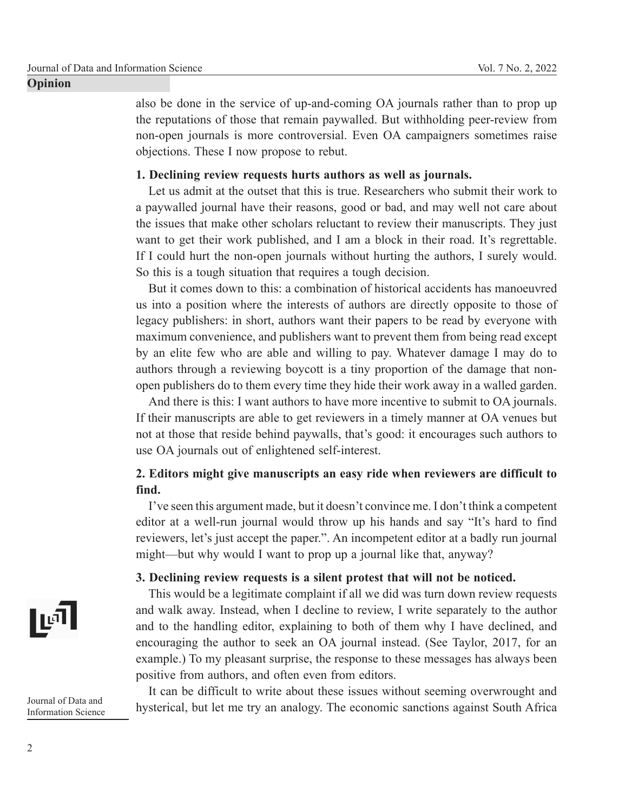also be done in the service of up-and-coming OA journals rather than to prop up the reputations of those that remain paywalled. But withholding peer-review from non-open journals is more controversial. Even OA campaigners sometimes raise objections. These I now propose to rebut.

### **1. Declining review requests hurts authors as well as journals.**

Let us admit at the outset that this is true. Researchers who submit their work to a paywalled journal have their reasons, good or bad, and may well not care about the issues that make other scholars reluctant to review their manuscripts. They just want to get their work published, and I am a block in their road. It's regrettable. If I could hurt the non-open journals without hurting the authors, I surely would. So this is a tough situation that requires a tough decision.

But it comes down to this: a combination of historical accidents has manoeuvred us into a position where the interests of authors are directly opposite to those of legacy publishers: in short, authors want their papers to be read by everyone with maximum convenience, and publishers want to prevent them from being read except by an elite few who are able and willing to pay. Whatever damage I may do to authors through a reviewing boycott is a tiny proportion of the damage that nonopen publishers do to them every time they hide their work away in a walled garden.

And there is this: I want authors to have more incentive to submit to OA journals. If their manuscripts are able to get reviewers in a timely manner at OA venues but not at those that reside behind paywalls, that's good: it encourages such authors to use OA journals out of enlightened self-interest.

## **2. Editors might give manuscripts an easy ride when reviewers are difficult to find.**

I've seen this argument made, but it doesn't convince me. I don't think a competent editor at a well-run journal would throw up his hands and say "It's hard to find reviewers, let's just accept the paper.". An incompetent editor at a badly run journal might—but why would I want to prop up a journal like that, anyway?

### **3. Declining review requests is a silent protest that will not be noticed.**

This would be a legitimate complaint if all we did was turn down review requests and walk away. Instead, when I decline to review, I write separately to the author and to the handling editor, explaining to both of them why I have declined, and encouraging the author to seek an OA journal instead. (See Taylor, 2017, for an example.) To my pleasant surprise, the response to these messages has always been positive from authors, and often even from editors.

It can be difficult to write about these issues without seeming overwrought and hysterical, but let me try an analogy. The economic sanctions against South Africa



Journal of Data and Information Science